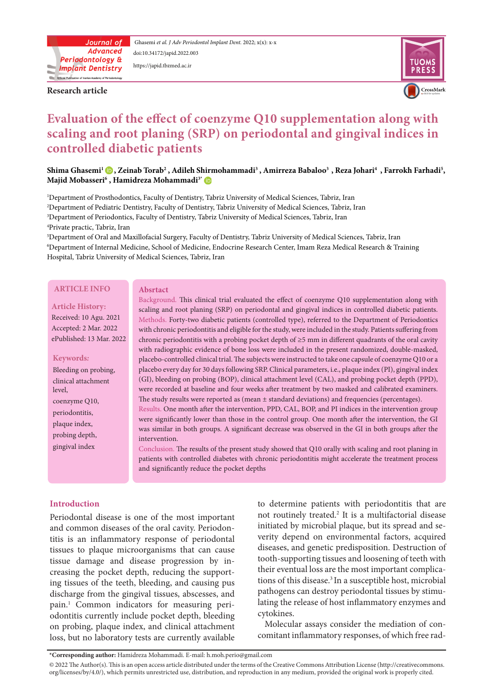

Ghasemi et al. J Adv Periodontol Implant Dent. 2022; x(x): x-x doi:10.34172/japid[.2022.00](http://doi.org/10.34172/japid.2022.003)3 https://japid.tbzmed.ac.ir

**Research article** 



# **Evaluation of the effect of coenzyme Q10 supplementation along with scaling and root planing (SRP) on periodontal and gingival indices in controlled** diabetic patients

#### Shima Ghasemi' ● , Zeinab Torab² , Adileh Shirmohammadi<sup>3</sup> , Amirreza Babaloo<sup>3</sup> , Reza Johari<sup>4</sup> , Farrokh Farhadi<sup>5</sup>,  $\mathbf{M}$ ajidMobasseri $^6$  , Hamidreza Mohammadi $^{3^*}$

"Department of Prosthodontics, Faculty of Dentistry, Tabriz University of Medical Sciences, Tabriz, Iran <sup>2</sup>Department of Pediatric Dentistry, Faculty of Dentistry, Tabriz University of Medical Sciences, Tabriz, Iran 3Department of Periodontics, Faculty of Dentistry, Tabriz University of Medical Sciences, Tabriz, Iran <sup>4</sup>Private practic, Tabriz, Iran

 $^5$ Department of Oral and Maxillofacial Surgery, Faculty of Dentistry, Tabriz University of Medical Sciences, Tabriz, Iran 'Department of Internal Medicine, School of Medicine, Endocrine Research Center, Imam Reza Medical Research & Training Hospital, Tabriz University of Medical Sciences, Tabriz, Iran

#### **ARTICLE INFO**

#### **Article History:**

Received: 10 Agu. 2021 Accepted: 2 Mar. 2022 ePublished: 13 Mar. 2022

#### *:***Keywords**

Bleeding on probing, clinical attachment level, coenzyme Q10, periodontitis, plaque index, probing depth, gingival index

## **Absrtact**

Background. This clinical trial evaluated the effect of coenzyme Q10 supplementation along with scaling and root planing (SRP) on periodontal and gingival indices in controlled diabetic patients. Methods. Forty-two diabetic patients (controlled type), referred to the Department of Periodontics with chronic periodontitis and eligible for the study, were included in the study. Patients suffering from chronic periodontitis with a probing pocket depth of  $\geq$ 5 mm in different quadrants of the oral cavity with radiographic evidence of bone loss were included in the present randomized, double-masked, placebo-controlled clinical trial. The subjects were instructed to take one capsule of coenzyme Q10 or a placebo every day for 30 days following SRP. Clinical parameters, i.e., plaque index (PI), gingival index (GI), bleeding on probing (BOP), clinical attachment level (CAL), and probing pocket depth (PPD), were recorded at baseline and four weeks after treatment by two masked and calibrated examiners. The study results were reported as (mean  $\pm$  standard deviations) and frequencies (percentages). Results. One month after the intervention, PPD, CAL, BOP, and PI indices in the intervention group were significantly lower than those in the control group. One month after the intervention, the GI was similar in both groups. A significant decrease was observed in the GI in both groups after the intervention.

Conclusion. The results of the present study showed that Q10 orally with scaling and root planing in patients with controlled diabetes with chronic periodontitis might accelerate the treatment process and significantly reduce the pocket depths

#### **Introduction**

Periodontal disease is one of the most important titis is an inflammatory response of periodontal and common diseases of the oral cavity. Periodontissues to plaque microorganisms that can cause creasing the pocket depth, reducing the support-<br>ing tissues of the teeth, bleeding, and causing pus tissue damage and disease progression by increasing the pocket depth, reducing the supporttissue damage and disease progression by indischarge from the gingival tissues, abscesses, and pain.<sup>1</sup> Common indicators for measuring peri odontitis currently include pocket depth, bleeding on probing, plaque index, and clinical attachment loss, but no laboratory tests are currently available to determine patients with periodontitis that are not routinely treated.<sup>2</sup> It is a multifactorial disease verity depend on environmental factors, acquired initiated by microbial plaque, but its spread and sediseases, and genetic predisposition. Destruction of tooth-supporting tissues and loosening of teeth with their eventual loss are the most important complications of this disease.<sup>3</sup> In a susceptible host, microbial lating the release of host inflammatory enzymes and pathogens can destroy periodontal tissues by stimu-.cytokines

comitant inflammatory responses, of which free rad-Molecular assays consider the mediation of con-

<sup>\*</sup>Corresponding author: Hamidreza Mohammadi. E-mail: h.moh.perio@gmail.com

<sup>@ 2022</sup> The Author(s). This is an open access article distributed under the terms of the Creative Commons Attribution License (http://creativecommons. org/licenses/by/4.0/), which permits unrestricted use, distribution, and reproduction in any medium, provided the original work is properly cited.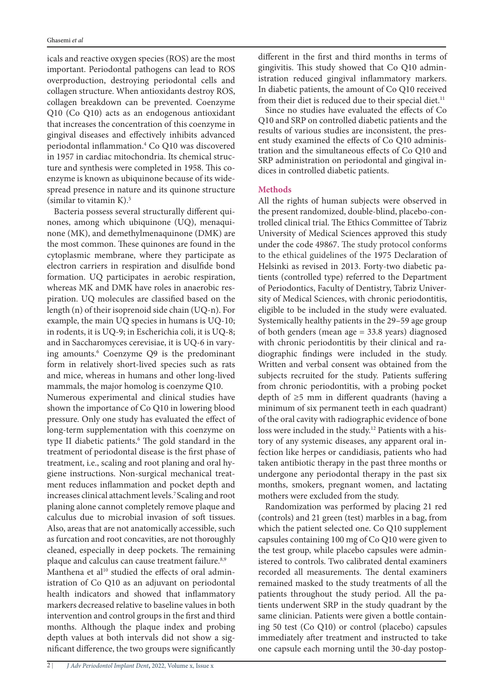icals and reactive oxygen species (ROS) are the most important. Periodontal pathogens can lead to ROS overproduction, destroying periodontal cells and collagen structure. When antioxidants destroy ROS, collagen breakdown can be prevented. Coenzyme Q10 (Co Q10) acts as an endogenous antioxidant that increases the concentration of this coenzyme in gingival diseases and effectively inhibits advanced periodontal inflammation.<sup>4</sup> Co Q10 was discovered spread presence in nature and its quinone structure enzyme is known as ubiquinone because of its wideture and synthesis were completed in 1958. This coin 1957 in cardiac mitochondria. Its chemical struc-(similar to vitamin  $K$ ).<sup>5</sup>

none (MK), and demethylmenaquinone (DMK) are nones, among which ubiquinone (UQ), menaqui-Bacteria possess several structurally different quithe most common. These quinones are found in the cytoplasmic membrane, where they participate as electron carriers in respiration and disulfide bond formation. UQ participates in aerobic respiration, whereas MK and DMK have roles in anaerobic res-<br>piration. UQ molecules are classified based on the length (n) of their isoprenoid side chain (UQ-n). For example, the main UQ species in humans is UQ-10; in rodents, it is UQ-9; in Escherichia coli, it is UQ-8; and in Saccharomyces cerevisiae, it is UQ-6 in vary-<br>ing-amounts.' Coenzyme-Q9 is the-predominant and in Saccharomyces cerevisiae, it is UQ-6 in varyform in relatively short-lived species such as rats and mice, whereas in humans and other long-lived mammals, the major homolog is coenzyme Q10.

Numerous experimental and clinical studies have shown the importance of Co Q10 in lowering blood pressure. Only one study has evaluated the effect of long-term supplementation with this coenzyme on type II diabetic patients.<sup>6</sup> The gold standard in the treatment of periodontal disease is the first phase of ment reduces inflammation and pocket depth and giene instructions. Non-surgical mechanical treattreatment, i.e., scaling and root planing and oral hyincreases clinical attachment levels.<sup>7</sup> Scaling and root planing alone cannot completely remove plaque and calculus due to microbial invasion of soft tissues. Also, areas that are not anatomically accessible, such as furcation and root concavities, are not thoroughly cleaned, especially in deep pockets. The remaining plaque and calculus can cause treatment failure.<sup>8,9</sup>

istration of Co Q10 as an adjuvant on periodontal Manthena et al<sup>10</sup> studied the effects of oral adminhealth indicators and showed that inflammatory markers decreased relative to baseline values in both intervention and control groups in the first and third months. Although the plaque index and probing nificant difference, the two groups were significantly depth values at both intervals did not show a sig-

Since no studies have evaluated the effects of Co Q10 and SRP on controlled diabetic patients and the tration and the simultaneous effects of Co O10 and ent study examined the effects of Co Q10 adminisresults of various studies are inconsistent, the pres-SRP administration on periodontal and gingival indices in controlled diabetic patients.

### **Methods**

All the rights of human subjects were observed in the present randomized, double-blind, placebo-con-<br>trolled clinical trial. The Ethics Committee of Tabriz University of Medical Sciences approved this study under the code 49867. The study protocol conforms to the ethical guidelines of the 1975 Declaration of tients (controlled type) referred to the Department Helsinki as revised in 2013. Forty-two diabetic pasity of Medical Sciences, with chronic periodontitis, of Periodontics, Faculty of Dentistry, Tabriz Univereligible to be included in the study were evaluated. Systemically healthy patients in the 29-59 age group of both genders (mean age  $= 33.8$  years) diagnosed diographic findings were included in the study. with chronic periodontitis by their clinical and ra-Written and verbal consent was obtained from the subjects recruited for the study. Patients suffering from chronic periodontitis, with a probing pocket depth of  $\geq$ 5 mm in different quadrants (having a minimum of six permanent teeth in each quadrant) of the oral cavity with radiographic evidence of bone fection like herpes or candidiasis, patients who had tory of any systemic diseases, any apparent oral inloss were included in the study.<sup>12</sup> Patients with a histaken antibiotic therapy in the past three months or undergone any periodontal therapy in the past six months, smokers, pregnant women, and lactating mothers were excluded from the study.

Randomization was performed by placing 21 red (controls) and 21 green (test) marbles in a bag, from which the patient selected one. Co Q10 supplement capsules containing 100 mg of Co Q10 were given to istered to controls. Two calibrated dental examiners the test group, while placebo capsules were adminrecorded all measurements. The dental examiners remained masked to the study treatments of all the tients underwent SRP in the study quadrant by the patients throughout the study period. All the paing 50 test (Co Q10) or control (placebo) capsules same clinician. Patients were given a bottle containimmediately after treatment and instructed to take one capsule each morning until the 30-day postop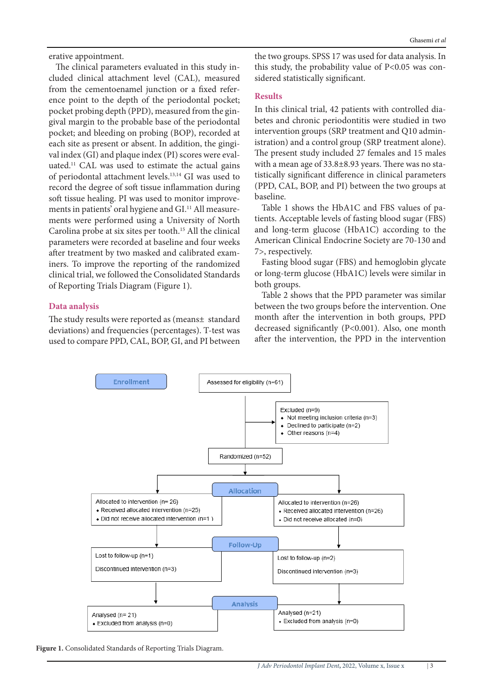erative appointment.

cluded clinical attachment level (CAL), measured The clinical parameters evaluated in this study inence point to the depth of the periodontal pocket; from the cementoenamel junction or a fixed refergival margin to the probable base of the periodontal pocket probing depth (PPD), measured from the ginpocket; and bleeding on probing (BOP), recorded at uated.<sup>11</sup> CAL was used to estimate the actual gains val index (GI) and plaque index (PI) scores were evaleach site as present or absent. In addition, the gingiof periodontal attachment levels.<sup>13,14</sup> GI was used to record the degree of soft tissue inflammation during ments were performed using a University of North ments in patients' oral hygiene and GI.<sup>11</sup> All measuresoft tissue healing. PI was used to monitor improve-Carolina probe at six sites per tooth.<sup>15</sup> All the clinical parameters were recorded at baseline and four weeks iners. To improve the reporting of the randomized after treatment by two masked and calibrated examclinical trial, we followed the Consolidated Standards of Reporting Trials Diagram (Figure 1).

#### **Data** analysis

The study results were reported as (means $\pm$  standard deviations) and frequencies (percentages). T-test was used to compare PPD, CAL, BOP, GI, and PI between

the two groups. SPSS 17 was used for data analysis. In this study, the probability value of P<0.05 was considered statistically significant.

#### **Results**

In this clinical trial, 42 patients with controlled diabetes and chronic periodontitis were studied in two istration) and a control group (SRP treatment alone). intervention groups (SRP treatment and Q10 admin-The present study included 27 females and 15 males tistically significant difference in clinical parameters with a mean age of  $33.8\pm8.93$  years. There was no sta-(PPD, CAL, BOP, and PI) between the two groups at .baseline

tients. Acceptable levels of fasting blood sugar (FBS) Table 1 shows the HbA1C and FBS values of paand long-term glucose (HbA1C) according to the American Clinical Endocrine Society are 70-130 and 7>, respectively.

Fasting blood sugar (FBS) and hemoglobin glycate or long-term glucose (HbA1C) levels were similar in both groups.

Table 2 shows that the PPD parameter was similar between the two groups before the intervention. One month after the intervention in both groups, PPD decreased significantly ( $P<0.001$ ). Also, one month after the intervention, the PPD in the intervention



Figure 1. Consolidated Standards of Reporting Trials Diagram.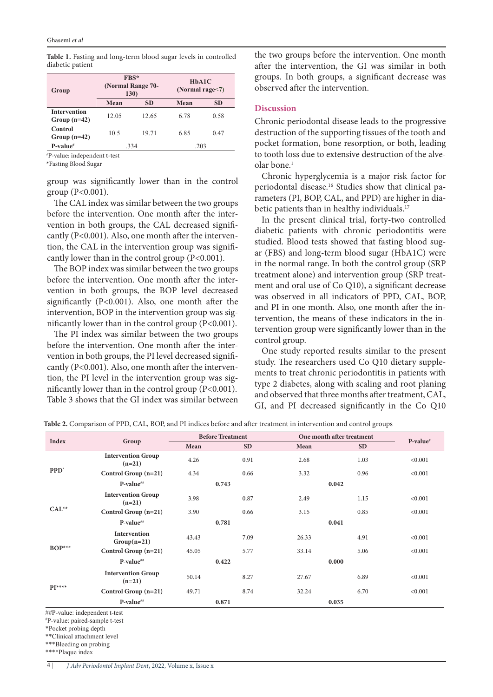| Group                                 | FBS*<br>(Normal Range 70-<br><b>130)</b> |           | HbA1C<br>(Normal rage<7) |           |  |
|---------------------------------------|------------------------------------------|-----------|--------------------------|-----------|--|
|                                       | Mean                                     | <b>SD</b> | Mean                     | <b>SD</b> |  |
| <b>Intervention</b><br>Group $(n=42)$ | 12.05                                    | 12.65     | 6.78                     | 0.58      |  |
| Control<br>Group $(n=42)$             | 10.5                                     | 19.71     | 6.85                     | 0.47      |  |
| $P-value$                             | .334                                     |           | .203                     |           |  |

Table 1. Fasting and long-term blood sugar levels in controlled diabetic patient

#P-value: independent t-test

\*Fasting Blood Sugar

group was significantly lower than in the control group  $(P<0.001)$ .

The CAL index was similar between the two groups tion, the CAL in the intervention group was significantly lower than in the control group  $(P< 0.001)$ . cantly (P<0.001). Also, one month after the intervention, the CAL in the intervention group was significantly ( $P<0.001$ ). Also, one month after the intervenvention in both groups, the CAL decreased signifibefore the intervention. One month after the inter-

The BOP index was similar between the two groups vention in both groups, the BOP level decreased before the intervention. One month after the intersignificantly (P<0.001). Also, one month after the nificantly lower than in the control group ( $P<0.001$ ). intervention, BOP in the intervention group was sig-

The PI index was similar between the two groups nificantly lower than in the control group  $(P<0.001)$ . cantly ( $P<0.001$ ). Also, one month after the intervention, the PI level in the intervention group was sigvention in both groups, the PI level decreased significantly (P<0.001). Also, one month after the intervenbefore the intervention. One month after the inter-<br>vention in both groups, the PI level decreased signifibefore the intervention. One month after the inter-Table 3 shows that the GI index was similar between the two groups before the intervention. One month after the intervention, the GI was similar in both groups. In both groups, a significant decrease was observed after the intervention.

#### **Discussion**

Chronic periodontal disease leads to the progressive destruction of the supporting tissues of the tooth and pocket formation, bone resorption, or both, leading to tooth loss due to extensive destruction of the alve-<br>olar bone.<sup>1</sup>

Chronic hyperglycemia is a major risk factor for rameters (PI, BOP, CAL, and PPD) are higher in dia-<br>betic patients than in healthy individuals.<sup>17</sup> periodontal disease.<sup>16</sup> Studies show that clinical pa-<br>rameters (PI, BOP, CAL, and PPD) are higher in diaperiodontal disease.<sup>16</sup> Studies show that clinical pa-

In the present clinical trial, forty-two controlled diabetic patients with chronic periodontitis were ar (FBS) and long-term blood sugar (HbA1C) were studied. Blood tests showed that fasting blood sugin the normal range. In both the control group (SRP ment and oral use of Co Q10), a significant decrease treatment alone) and intervention group (SRP treatwas observed in all indicators of PPD, CAL, BOP, tervention group were significantly lower than in the tervention, the means of these indicators in the inand PI in one month. Also, one month after the incontrol group.

One study reported results similar to the present ments to treat chronic periodontitis in patients with study. The researchers used Co Q10 dietary suppletype 2 diabetes, along with scaling and root planing and observed that three months after treatment, CAL, GI, and PI decreased significantly in the Co Q10

| Index            | Group                                 | <b>Before Treatment</b> |           | One month after treatment |           | P-value <sup>#</sup> |
|------------------|---------------------------------------|-------------------------|-----------|---------------------------|-----------|----------------------|
|                  |                                       | Mean                    | <b>SD</b> | Mean                      | <b>SD</b> |                      |
| PPD <sup>*</sup> | <b>Intervention Group</b><br>$(n=21)$ | 4.26                    | 0.91      | 2.68                      | 1.03      | < 0.001              |
|                  | Control Group $(n=21)$                | 4.34                    | 0.66      | 3.32                      | 0.96      | < 0.001              |
|                  | $P-value**$                           | 0.743                   |           | 0.042                     |           |                      |
| $CAL**$          | <b>Intervention Group</b><br>$(n=21)$ | 3.98                    | 0.87      | 2.49                      | 1.15      | < 0.001              |
|                  | Control Group (n=21)                  | 3.90                    | 0.66      | 3.15                      | 0.85      | < 0.001              |
|                  | P-value <sup>##</sup>                 | 0.781                   |           | 0.041                     |           |                      |
| $BOP***$         | Intervention<br>$Group(n=21)$         | 43.43                   | 7.09      | 26.33                     | 4.91      | < 0.001              |
|                  | Control Group (n=21)                  | 45.05                   | 5.77      | 33.14                     | 5.06      | < 0.001              |
|                  | P-value <sup>##</sup>                 | 0.422                   |           | 0.000                     |           |                      |
| $PI***$          | <b>Intervention Group</b><br>$(n=21)$ | 50.14                   | 8.27      | 27.67                     | 6.89      | < 0.001              |
|                  | Control Group $(n=21)$                | 49.71                   | 8.74      | 32.24                     | 6.70      | < 0.001              |
|                  | P-value##                             |                         | 0.871     |                           | 0.035     |                      |
|                  | $\sim$                                |                         |           |                           |           |                      |

Table 2. Comparison of PPD, CAL, BOP, and PI indices before and after treatment in intervention and control groups

##P-value: independent t-test

#P-value: paired-sample t-test

\*Pocket probing depth \*\*Clinical attachment level

\*\*\*Bleeding on probing

\*\*\*\*Plaque index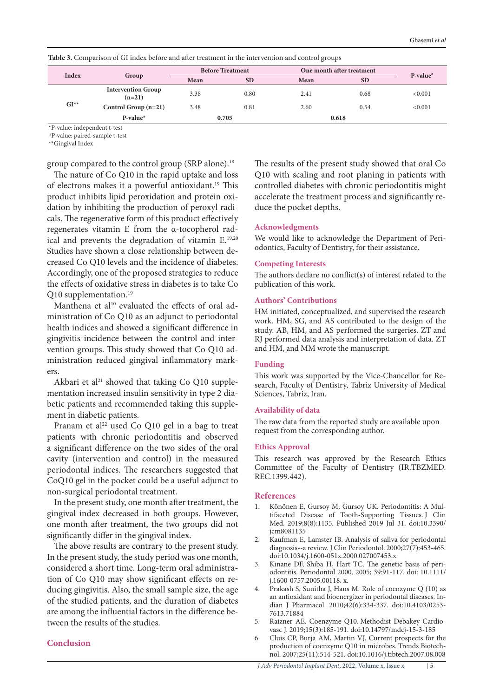Table 3. Comparison of GI index before and after treatment in the intervention and control groups

| Index  | Group                                 | <b>Before Treatment</b> |           | One month after treatment |           | $P-value^*$ |
|--------|---------------------------------------|-------------------------|-----------|---------------------------|-----------|-------------|
|        |                                       | Mean                    | <b>SD</b> | Mean                      | <b>SD</b> |             |
| $GI**$ | <b>Intervention Group</b><br>$(n=21)$ | 3.38                    | 0.80      | 2.41                      | 0.68      | < 0.001     |
|        | Control Group $(n=21)$                | 3.48                    | 0.81      | 2.60                      | 0.54      | < 0.001     |
|        | $P-value*$                            | 0.705                   |           | 0.618                     |           |             |

 $*P$ -value: independent t-test

#P-value: paired-sample t-test

\*\*Gingival Index

group compared to the control group (SRP alone).<sup>18</sup>

The nature of Co Q10 in the rapid uptake and loss of electrons makes it a powerful antioxidant.<sup>19</sup> This cals. The regenerative form of this product effectively dation by inhibiting the production of peroxyl radiproduct inhibits lipid peroxidation and protein oxiical and prevents the degradation of vitamin  $E^{19,20}$ regenerates vitamin E from the  $\alpha$ -tocopherol rad-Studies have shown a close relationship between decreased Co Q10 levels and the incidence of diabetes. Accordingly, one of the proposed strategies to reduce the effects of oxidative stress in diabetes is to take Co  $Q10$  supplementation.<sup>19</sup>

ministration of Co Q10 as an adjunct to periodontal Manthena et al<sup>10</sup> evaluated the effects of oral adhealth indices and showed a significant difference in ministration reduced gingival inflammatory mark-<br>ers. vention groups. This study showed that Co Q10 ad-<br>ministration-reduced gingival inflammatory markvention groups. This study showed that Co Q10 adgingivitis incidence between the control and inter-

betic patients and recommended taking this supple-<br>ment in diabetic patients. mentation increased insulin sensitivity in type 2 dia-<br>betic patients and recommended taking this supplementation increased insulin sensitivity in type 2 dia-Akbari et al<sup>21</sup> showed that taking Co Q10 supple-

Pranam et al<sup>22</sup> used Co Q10 gel in a bag to treat patients with chronic periodontitis and observed a significant difference on the two sides of the oral cavity (intervention and control) in the measured periodontal indices. The researchers suggested that  $CoQ10$  gel in the pocket could be a useful adjunct to non-surgical periodontal treatment.

In the present study, one month after treatment, the gingival index decreased in both groups. However, one month after treatment, the two groups did not significantly differ in the gingival index.

The above results are contrary to the present study. In the present study, the study period was one month, tion of Co Q10 may show significant effects on re-<br>ducing gingivitis. Also, the small sample size, the age considered a short time. Long-term oral administra-<br>tion of Co Q10 may show significant effects on reconsidered a short time. Long-term oral administraof the studied patients, and the duration of diabetes are among the influential factors in the difference be-<br>tween the results of the studies.

#### **Conclusion**

The results of the present study showed that oral Co Q10 with scaling and root planing in patients with controlled diabetes with chronic periodontitis might accelerate the treatment process and significantly re-<br>duce the pocket depths.

#### **Acknowledgments**

odontics, Faculty of Dentistry, for their assistance. We would like to acknowledge the Department of Peri-

#### **Interests Competing**

The authors declare no conflict(s) of interest related to the publication of this work.

#### **Authors' Contributions**

HM initiated, conceptualized, and supervised the research work. HM, SG, and AS contributed to the design of the study. AB, HM, and AS performed the surgeries. ZT and RJ performed data analysis and interpretation of data. ZT and HM, and MM wrote the manuscript.

#### **Funding**

search, Faculty of Dentistry, Tabriz University of Medical This work was supported by the Vice-Chancellor for Re-Sciences, Tabriz, Iran.

#### **Availability** of data

The raw data from the reported study are available upon request from the corresponding author.

#### **Ethics Approval**

This research was approved by the Research Ethics Committee of the Faculty of Dentistry (IR.TBZMED. REC.1399.442).

#### **References**

- tifaceted Disease of Tooth-Supporting Tissues. J Clin Könönen E, Gursoy M, Gursoy UK. Periodontitis: A Mul-Med. 2019;8(8):1135. Published 2019 Jul 31. doi:10.3390/ jcm8081135
- 2. Kaufman E, Lamster IB. Analysis of saliva for periodontal diagnosis--a review. J Clin Periodontol.  $2000;27(7):453-465$ . doi:10.1034/j.1600-051x.2000.027007453.x
- odontitis. Periodontol 2000. 2005; 39:91-117. doi: 10.1111/ 3. Kinane DF, Shiba H, Hart TC. The genetic basis of perij.1600-0757.2005.00118.x.
- 4. Prakash S, Sunitha J, Hans M. Role of coenzyme  $Q(10)$  as dian J Pharmacol. 2010;42(6):334-337. doi:10.4103/0253an antioxidant and bioenergizer in periodontal diseases. In-7613.71884
- vasc J. 2019;15(3):185-191. doi:10.14797/mdcj-15-3-185 5. Raizner AE. Coenzyme Q10. Methodist Debakey Cardio-
- 6. Cluis CP, Burja AM, Martin VJ. Current prospects for the production of coenzyme Q10 in microbes. Trends Biotech-<br>nol. 2007;25(11):514-521. doi:10.1016/j.tibtech.2007.08.008